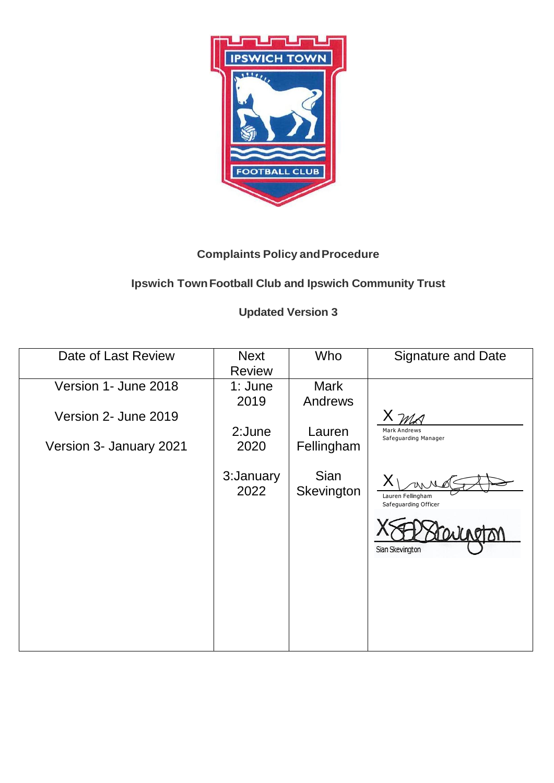

## **Complaints Policy and Procedure**

## **Ipswich Town Football Club and Ipswich Community Trust**

# **Updated Version 3**

| Date of Last Review     | <b>Next</b>   | <b>Who</b>  | <b>Signature and Date</b>     |
|-------------------------|---------------|-------------|-------------------------------|
|                         | <b>Review</b> |             |                               |
| Version 1- June 2018    | 1: June       | <b>Mark</b> |                               |
|                         | 2019          | Andrews     |                               |
| Version 2- June 2019    |               |             | $X \mathcal{M}_{\mathcal{A}}$ |
|                         | 2:June        | Lauren      | <b>Mark Andrews</b>           |
| Version 3- January 2021 | 2020          | Fellingham  | Safeguarding Manager          |
|                         |               |             |                               |
|                         | 3: January    | <b>Sian</b> |                               |
|                         | 2022          | Skevington  | Lauren Fellingham             |
|                         |               |             | Safeguarding Officer          |
|                         |               |             |                               |
|                         |               |             |                               |
|                         |               |             | Sian Skevington               |
|                         |               |             |                               |
|                         |               |             |                               |
|                         |               |             |                               |
|                         |               |             |                               |
|                         |               |             |                               |
|                         |               |             |                               |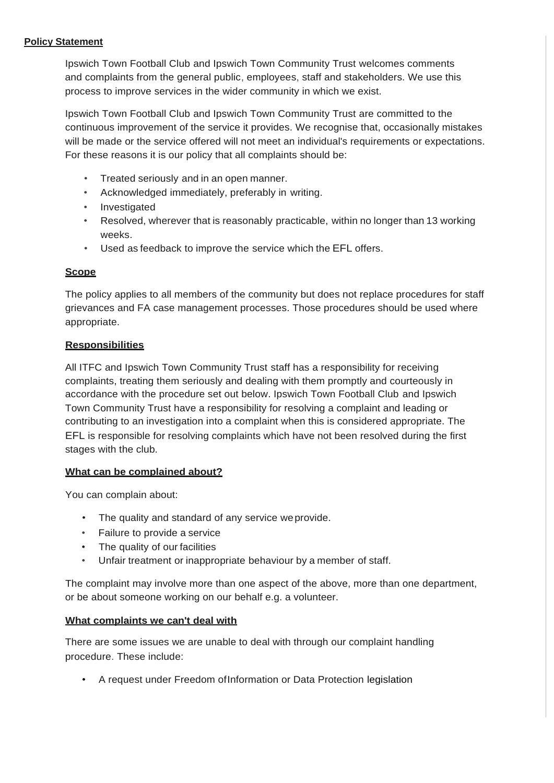## **Policy Statement**

Ipswich Town Football Club and Ipswich Town Community Trust welcomes comments and complaints from the general public, employees, staff and stakeholders. We use this process to improve services in the wider community in which we exist.

Ipswich Town Football Club and Ipswich Town Community Trust are committed to the continuous improvement of the service it provides. We recognise that, occasionally mistakes will be made or the service offered will not meet an individual's requirements or expectations. For these reasons it is our policy that all complaints should be:

- Treated seriously and in an open manner.
- Acknowledged immediately, preferably in writing.
- Investigated
- Resolved, wherever that is reasonably practicable, within no longer than 13 working weeks.
- Used as feedback to improve the service which the EFL offers.

## **Scope**

The policy applies to all members of the community but does not replace procedures for staff grievances and FA case management processes. Those procedures should be used where appropriate.

## **Responsibilities**

All ITFC and Ipswich Town Community Trust staff has a responsibility for receiving complaints, treating them seriously and dealing with them promptly and courteously in accordance with the procedure set out below. Ipswich Town Football Club and Ipswich Town Community Trust have a responsibility for resolving a complaint and leading or contributing to an investigation into a complaint when this is considered appropriate. The EFL is responsible for resolving complaints which have not been resolved during the first stages with the club.

## **What can be complained about?**

You can complain about:

- The quality and standard of any service weprovide.
- Failure to provide a service
- The quality of our facilities
- Unfair treatment or inappropriate behaviour by a member of staff.

The complaint may involve more than one aspect of the above, more than one department, or be about someone working on our behalf e.g. a volunteer.

#### **What complaints we can't deal with**

There are some issues we are unable to deal with through our complaint handling procedure. These include:

• A request under Freedom ofInformation or Data Protection legislation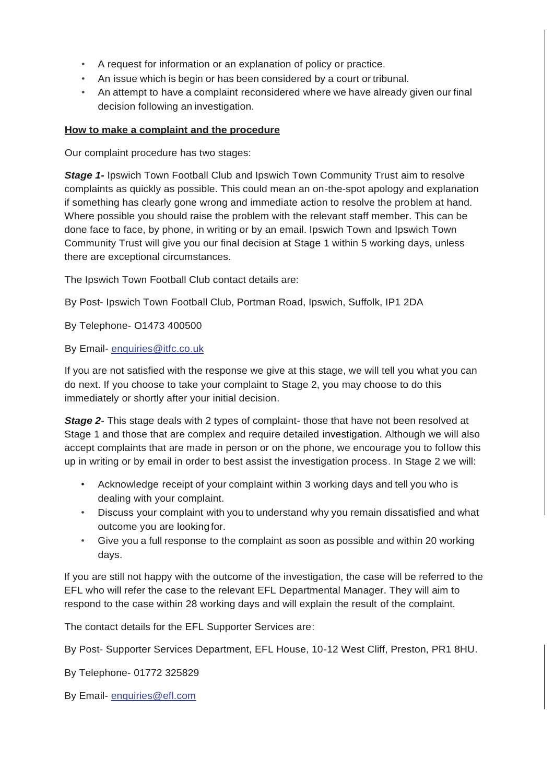- A request for information or an explanation of policy or practice.
- An issue which is begin or has been considered by a court or tribunal.
- An attempt to have a complaint reconsidered where we have already given our final decision following an investigation.

## **How to make a complaint and the procedure**

Our complaint procedure has two stages:

**Stage 1-** Ipswich Town Football Club and Ipswich Town Community Trust aim to resolve complaints as quickly as possible. This could mean an on-the-spot apology and explanation if something has clearly gone wrong and immediate action to resolve the problem at hand. Where possible you should raise the problem with the relevant staff member. This can be done face to face, by phone, in writing or by an email. Ipswich Town and Ipswich Town Community Trust will give you our final decision at Stage 1 within 5 working days, unless there are exceptional circumstances.

The Ipswich Town Football Club contact details are:

By Post- Ipswich Town Football Club, Portman Road, Ipswich, Suffolk, IP1 2DA

By Telephone- O1473 400500

By Email- [enquiries@itfc.co.uk](mailto:enquiries@itfc.co.uk)

If you are not satisfied with the response we give at this stage, we will tell you what you can do next. If you choose to take your complaint to Stage 2, you may choose to do this immediately or shortly after your initial decision.

**Stage 2-** This stage deals with 2 types of complaint- those that have not been resolved at Stage 1 and those that are complex and require detailed investigation. Although we will also accept complaints that are made in person or on the phone, we encourage you to follow this up in writing or by email in order to best assist the investigation process. In Stage 2 we will:

- Acknowledge receipt of your complaint within 3 working days and tell you who is dealing with your complaint.
- Discuss your complaint with you to understand why you remain dissatisfied and what outcome you are looking for.
- Give you a full response to the complaint as soon as possible and within 20 working days.

If you are still not happy with the outcome of the investigation, the case will be referred to the EFL who will refer the case to the relevant EFL Departmental Manager. They will aim to respond to the case within 28 working days and will explain the result of the complaint.

The contact details for the EFL Supporter Services are:

By Post- Supporter Services Department, EFL House, 10-12 West Cliff, Preston, PR1 8HU.

By Telephone- 01772 325829

By Email- enquiries@efl.com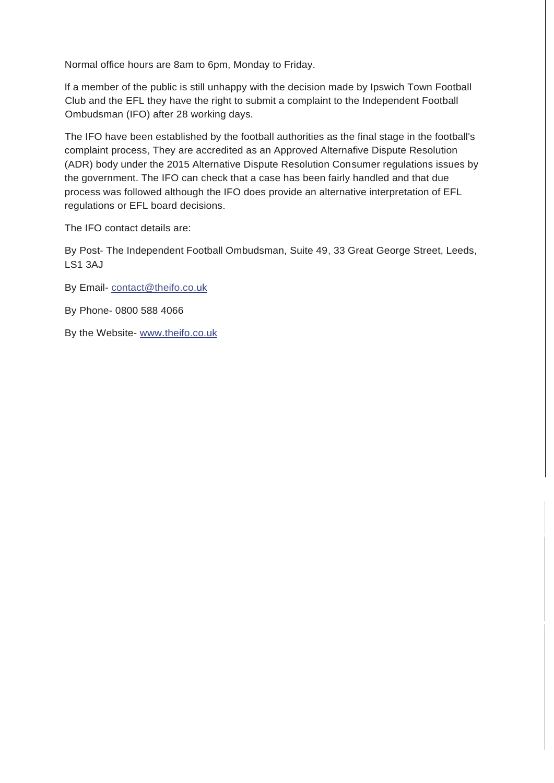Normal office hours are 8am to 6pm, Monday to Friday.

If a member of the public is still unhappy with the decision made by Ipswich Town Football Club and the EFL they have the right to submit a complaint to the Independent Football Ombudsman (IFO) after 28 working days.

The IFO have been established by the football authorities as the final stage in the football's complaint process, They are accredited as an Approved Alternafive Dispute Resolution (ADR) body under the 2015 Alternative Dispute Resolution Consumer regulations issues by the government. The IFO can check that a case has been fairly handled and that due process was followed although the IFO does provide an alternative interpretation of EFL regulations or EFL board decisions.

The IFO contact details are:

By Post- The Independent Football Ombudsman, Suite 49, 33 Great George Street, Leeds, LS1 3AJ

- By Email- [contact@theifo.co.uk](mailto:contact@theifo.co.uk)
- By Phone- 0800 588 4066
- By the Website- [www.theifo.co.uk](http://www.theifo.co.uk/)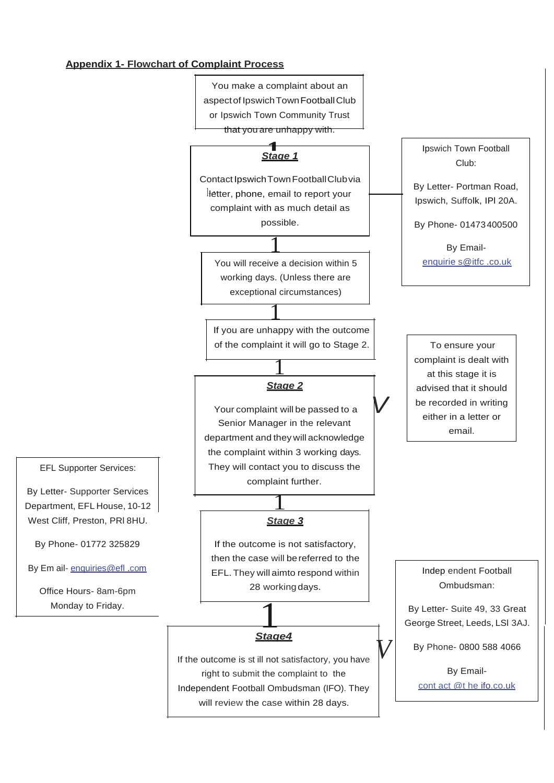## **Appendix 1- Flowchart of Complaint Process**



will review the case within 28 days.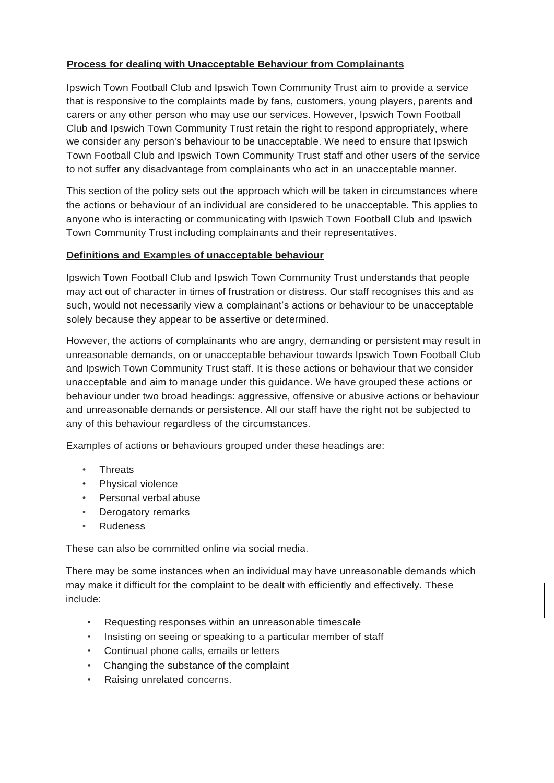## **Process for dealing with Unacceptable Behaviour from Complainants**

Ipswich Town Football Club and Ipswich Town Community Trust aim to provide a service that is responsive to the complaints made by fans, customers, young players, parents and carers or any other person who may use our services. However, Ipswich Town Football Club and Ipswich Town Community Trust retain the right to respond appropriately, where we consider any person's behaviour to be unacceptable. We need to ensure that Ipswich Town Football Club and Ipswich Town Community Trust staff and other users of the service to not suffer any disadvantage from complainants who act in an unacceptable manner.

This section of the policy sets out the approach which will be taken in circumstances where the actions or behaviour of an individual are considered to be unacceptable. This applies to anyone who is interacting or communicating with Ipswich Town Football Club and Ipswich Town Community Trust including complainants and their representatives.

## **Definitions and Examples of unacceptable behaviour**

Ipswich Town Football Club and Ipswich Town Community Trust understands that people may act out of character in times of frustration or distress. Our staff recognises this and as such, would not necessarily view a complainant's actions or behaviour to be unacceptable solely because they appear to be assertive or determined.

However, the actions of complainants who are angry, demanding or persistent may result in unreasonable demands, on or unacceptable behaviour towards Ipswich Town Football Club and Ipswich Town Community Trust staff. It is these actions or behaviour that we consider unacceptable and aim to manage under this guidance. We have grouped these actions or behaviour under two broad headings: aggressive, offensive or abusive actions or behaviour and unreasonable demands or persistence. All our staff have the right not be subjected to any of this behaviour regardless of the circumstances.

Examples of actions or behaviours grouped under these headings are:

- Threats
- Physical violence
- Personal verbal abuse
- Derogatory remarks
- Rudeness

These can also be committed online via social media.

There may be some instances when an individual may have unreasonable demands which may make it difficult for the complaint to be dealt with efficiently and effectively. These include:

- Requesting responses within an unreasonable timescale
- Insisting on seeing or speaking to a particular member of staff
- Continual phone calls, emails or letters
- Changing the substance of the complaint
- Raising unrelated concerns.